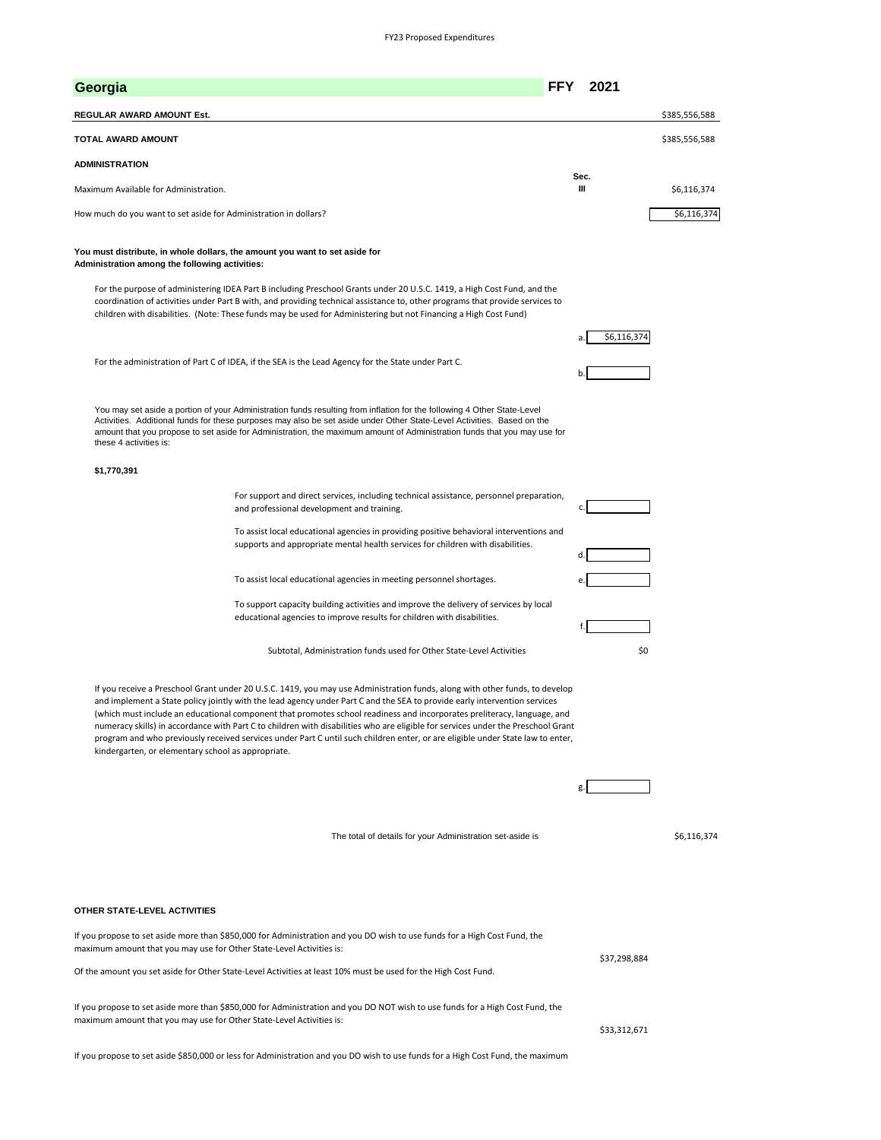g.

## **OTHER STATE-LEVEL ACTIVITIES**

\$37,298,884

\$33,312,671

program and who previously received services under Part C until such children enter, or are eligible under State law to enter,

kindergarten, or elementary school as appropriate.

If you propose to set aside more than \$850,000 for Administration and you DO wish to use funds for a High Cost Fund, the maximum amount that you may use for Other State-Level Activities is:

Of the amount you set aside for Other State-Level Activities at least 10% must be used for the High Cost Fund.

If you propose to set aside more than \$850,000 for Administration and you DO NOT wish to use funds for a High Cost Fund, the maximum amount that you may use for Other State-Level Activities is:

If you propose to set aside \$850,000 or less for Administration and you DO wish to use funds for a High Cost Fund, the maximum

| Georgia                                                                                                                                                                                                                                                                                                                                                                                                                                                                                                                 | <b>FFY</b>             | 2021        |               |
|-------------------------------------------------------------------------------------------------------------------------------------------------------------------------------------------------------------------------------------------------------------------------------------------------------------------------------------------------------------------------------------------------------------------------------------------------------------------------------------------------------------------------|------------------------|-------------|---------------|
| REGULAR AWARD AMOUNT Est.                                                                                                                                                                                                                                                                                                                                                                                                                                                                                               |                        |             | \$385,556,588 |
| TOTAL AWARD AMOUNT                                                                                                                                                                                                                                                                                                                                                                                                                                                                                                      |                        |             | \$385,556,588 |
| <b>ADMINISTRATION</b>                                                                                                                                                                                                                                                                                                                                                                                                                                                                                                   |                        |             |               |
| Maximum Available for Administration.                                                                                                                                                                                                                                                                                                                                                                                                                                                                                   | Sec.<br>$\mathbf{III}$ |             | \$6,116,374   |
| How much do you want to set aside for Administration in dollars?                                                                                                                                                                                                                                                                                                                                                                                                                                                        |                        |             | \$6,116,374   |
| You must distribute, in whole dollars, the amount you want to set aside for<br><b>Administration among the following activities:</b>                                                                                                                                                                                                                                                                                                                                                                                    |                        |             |               |
| For the purpose of administering IDEA Part B including Preschool Grants under 20 U.S.C. 1419, a High Cost Fund, and the<br>coordination of activities under Part B with, and providing technical assistance to, other programs that provide services to<br>children with disabilities. (Note: These funds may be used for Administering but not Financing a High Cost Fund)                                                                                                                                             |                        |             |               |
|                                                                                                                                                                                                                                                                                                                                                                                                                                                                                                                         | a.                     | \$6,116,374 |               |
| For the administration of Part C of IDEA, if the SEA is the Lead Agency for the State under Part C.                                                                                                                                                                                                                                                                                                                                                                                                                     | b.                     |             |               |
| You may set aside a portion of your Administration funds resulting from inflation for the following 4 Other State-Level<br>Activities. Additional funds for these purposes may also be set aside under Other State-Level Activities. Based on the<br>amount that you propose to set aside for Administration, the maximum amount of Administration funds that you may use for<br>these 4 activities is:                                                                                                                 |                        |             |               |
| \$1,770,391                                                                                                                                                                                                                                                                                                                                                                                                                                                                                                             |                        |             |               |
| For support and direct services, including technical assistance, personnel preparation,<br>and professional development and training.                                                                                                                                                                                                                                                                                                                                                                                   | c.                     |             |               |
| To assist local educational agencies in providing positive behavioral interventions and<br>supports and appropriate mental health services for children with disabilities.                                                                                                                                                                                                                                                                                                                                              |                        |             |               |
| To assist local educational agencies in meeting personnel shortages.                                                                                                                                                                                                                                                                                                                                                                                                                                                    | e.                     |             |               |
| To support capacity building activities and improve the delivery of services by local<br>educational agencies to improve results for children with disabilities.                                                                                                                                                                                                                                                                                                                                                        |                        |             |               |
| Subtotal, Administration funds used for Other State-Level Activities                                                                                                                                                                                                                                                                                                                                                                                                                                                    |                        | \$0         |               |
| If you receive a Preschool Grant under 20 U.S.C. 1419, you may use Administration funds, along with other funds, to develop<br>and implement a State policy jointly with the lead agency under Part C and the SEA to provide early intervention services<br>(which must include an educational component that promotes school readiness and incorporates preliteracy, language, and<br>numeracy skills) in accordance with Part C to children with disabilities who are eligible for services under the Preschool Grant |                        |             |               |

The total of details for your Administration set-aside is \$6,116,374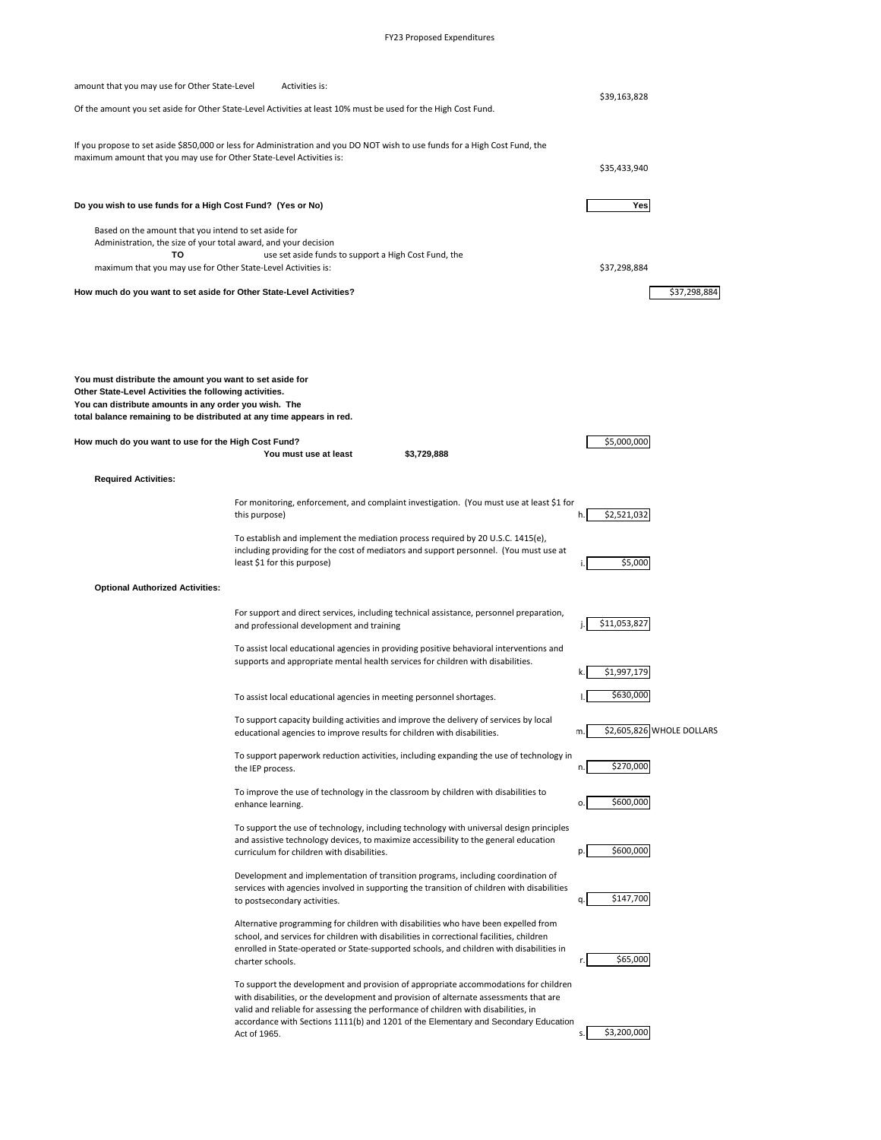## FY23 Proposed Expenditures



| q. | \$147,700 |
|----|-----------|

| is nnoi |
|---------|



 $0.$  \$600,000

To improve the use of technology in the classroom by children with disabilities to enhance learning.

To support the use of technology, including technology with universal design principles and assistive technology devices, to maximize accessibility to the general education curriculum for children with disabilities.

Development and implementation of transition programs, including coordination of services with agencies involved in supporting the transition of children with disabilities to postsecondary activities.

Alternative programming for children with disabilities who have been expelled from school, and services for children with disabilities in correctional facilities, children enrolled in State-operated or State-supported schools, and children with disabilities in charter schools.

| amount that you may use for Other State-Level                                                                                                                                                                                                                                                                              | Activities is:                                                                                                                                                                                                                                                                                                       |                                |  |  |  |
|----------------------------------------------------------------------------------------------------------------------------------------------------------------------------------------------------------------------------------------------------------------------------------------------------------------------------|----------------------------------------------------------------------------------------------------------------------------------------------------------------------------------------------------------------------------------------------------------------------------------------------------------------------|--------------------------------|--|--|--|
| \$39,163,828<br>Of the amount you set aside for Other State-Level Activities at least 10% must be used for the High Cost Fund.                                                                                                                                                                                             |                                                                                                                                                                                                                                                                                                                      |                                |  |  |  |
| maximum amount that you may use for Other State-Level Activities is:                                                                                                                                                                                                                                                       | If you propose to set aside \$850,000 or less for Administration and you DO NOT wish to use funds for a High Cost Fund, the                                                                                                                                                                                          | \$35,433,940                   |  |  |  |
| Do you wish to use funds for a High Cost Fund? (Yes or No)                                                                                                                                                                                                                                                                 |                                                                                                                                                                                                                                                                                                                      | Yes                            |  |  |  |
| Based on the amount that you intend to set aside for<br>Administration, the size of your total award, and your decision<br><b>TO</b><br>maximum that you may use for Other State-Level Activities is:<br>How much do you want to set aside for Other State-Level Activities?                                               | use set aside funds to support a High Cost Fund, the                                                                                                                                                                                                                                                                 | \$37,298,884<br>\$37,298,884   |  |  |  |
| You must distribute the amount you want to set aside for<br>Other State-Level Activities the following activities.<br>You can distribute amounts in any order you wish. The<br>total balance remaining to be distributed at any time appears in red.<br>How much do you want to use for the High Cost Fund?<br>\$5,000,000 |                                                                                                                                                                                                                                                                                                                      |                                |  |  |  |
|                                                                                                                                                                                                                                                                                                                            | You must use at least<br>\$3,729,888                                                                                                                                                                                                                                                                                 |                                |  |  |  |
| <b>Required Activities:</b>                                                                                                                                                                                                                                                                                                | For monitoring, enforcement, and complaint investigation. (You must use at least \$1 for<br>this purpose)<br>To establish and implement the mediation process required by 20 U.S.C. 1415(e),<br>including providing for the cost of mediators and support personnel. (You must use at<br>least \$1 for this purpose) | \$2,521,032<br>\$5,000         |  |  |  |
| <b>Optional Authorized Activities:</b>                                                                                                                                                                                                                                                                                     |                                                                                                                                                                                                                                                                                                                      |                                |  |  |  |
|                                                                                                                                                                                                                                                                                                                            | For support and direct services, including technical assistance, personnel preparation,<br>and professional development and training                                                                                                                                                                                 | \$11,053,827                   |  |  |  |
|                                                                                                                                                                                                                                                                                                                            | To assist local educational agencies in providing positive behavioral interventions and<br>supports and appropriate mental health services for children with disabilities.                                                                                                                                           | \$1,997,179                    |  |  |  |
|                                                                                                                                                                                                                                                                                                                            | To assist local educational agencies in meeting personnel shortages.                                                                                                                                                                                                                                                 | \$630,000                      |  |  |  |
|                                                                                                                                                                                                                                                                                                                            | To support capacity building activities and improve the delivery of services by local<br>educational agencies to improve results for children with disabilities.                                                                                                                                                     | \$2,605,826 WHOLE DOLLARS<br>m |  |  |  |
|                                                                                                                                                                                                                                                                                                                            | To support paperwork reduction activities, including expanding the use of technology in<br>the IEP process.                                                                                                                                                                                                          | \$270,000<br>n.                |  |  |  |

To support the development and provision of appropriate accommodations for children with disabilities, or the development and provision of alternate assessments that are valid and reliable for assessing the performance of children with disabilities, in accordance with Sections 1111(b) and 1201 of the Elementary and Secondary Education Act of 1965.